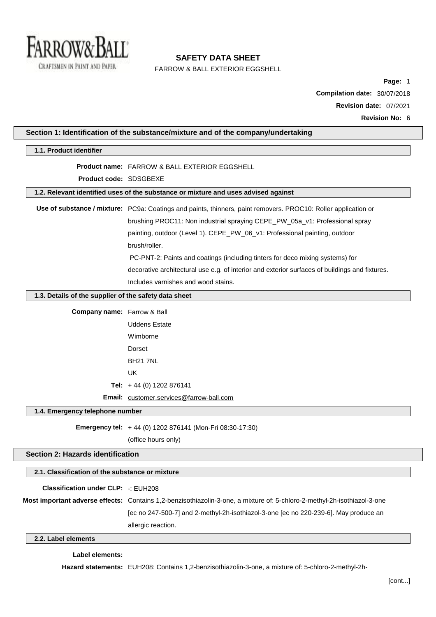

FARROW & BALL EXTERIOR EGGSHELL

**Page:** 1 **Compilation date:** 30/07/2018 **Revision date:** 07/2021 **Revision No:** 6

| Section 1: Identification of the substance/mixture and of the company/undertaking |                                                                                                                          |  |
|-----------------------------------------------------------------------------------|--------------------------------------------------------------------------------------------------------------------------|--|
| 1.1. Product identifier                                                           |                                                                                                                          |  |
|                                                                                   | <b>Product name: FARROW &amp; BALL EXTERIOR EGGSHELL</b>                                                                 |  |
| Product code: SDSGBEXE                                                            |                                                                                                                          |  |
|                                                                                   | 1.2. Relevant identified uses of the substance or mixture and uses advised against                                       |  |
|                                                                                   | Use of substance / mixture: PC9a: Coatings and paints, thinners, paint removers. PROC10: Roller application or           |  |
|                                                                                   | brushing PROC11: Non industrial spraying CEPE_PW_05a_v1: Professional spray                                              |  |
|                                                                                   | painting, outdoor (Level 1). CEPE_PW_06_v1: Professional painting, outdoor                                               |  |
|                                                                                   | brush/roller.                                                                                                            |  |
|                                                                                   | PC-PNT-2: Paints and coatings (including tinters for deco mixing systems) for                                            |  |
|                                                                                   | decorative architectural use e.g. of interior and exterior surfaces of buildings and fixtures.                           |  |
|                                                                                   | Includes varnishes and wood stains.                                                                                      |  |
| 1.3. Details of the supplier of the safety data sheet                             |                                                                                                                          |  |
| Company name: Farrow & Ball                                                       |                                                                                                                          |  |
|                                                                                   | <b>Uddens Estate</b>                                                                                                     |  |
|                                                                                   | Wimborne                                                                                                                 |  |
|                                                                                   | Dorset                                                                                                                   |  |
|                                                                                   | <b>BH21 7NL</b>                                                                                                          |  |
|                                                                                   | <b>UK</b>                                                                                                                |  |
|                                                                                   | Tel: $+44$ (0) 1202 876141                                                                                               |  |
|                                                                                   | Email: customer.services@farrow-ball.com                                                                                 |  |
| 1.4. Emergency telephone number                                                   |                                                                                                                          |  |
|                                                                                   | Emergency tel: +44 (0) 1202 876141 (Mon-Fri 08:30-17:30)                                                                 |  |
|                                                                                   | (office hours only)                                                                                                      |  |
| <b>Section 2: Hazards identification</b>                                          |                                                                                                                          |  |
| 2.1. Classification of the substance or mixture                                   |                                                                                                                          |  |
|                                                                                   |                                                                                                                          |  |
| <b>Classification under CLP: -: EUH208</b>                                        |                                                                                                                          |  |
|                                                                                   | Most important adverse effects: Contains 1,2-benzisothiazolin-3-one, a mixture of: 5-chloro-2-methyl-2h-isothiazol-3-one |  |
|                                                                                   | [ec no 247-500-7] and 2-methyl-2h-isothiazol-3-one [ec no 220-239-6]. May produce an                                     |  |
|                                                                                   | allergic reaction.                                                                                                       |  |
| 2.2. Label elements                                                               |                                                                                                                          |  |

# **Label elements:**

 $\sqrt{2}$ 

**Hazard statements:** EUH208: Contains 1,2-benzisothiazolin-3-one, a mixture of: 5-chloro-2-methyl-2h-

 $\overline{\phantom{a}}$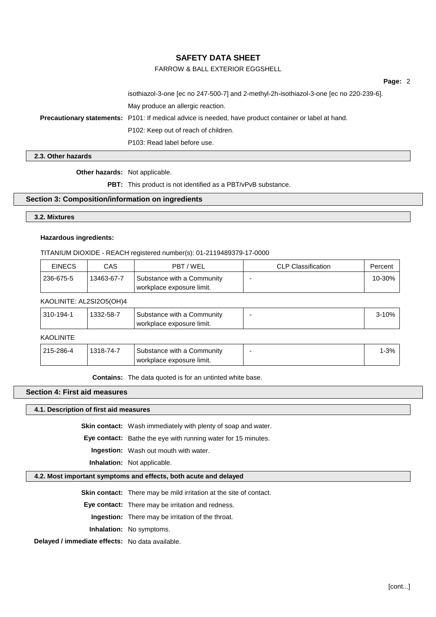# FARROW & BALL EXTERIOR EGGSHELL

**Page:** 2

isothiazol-3-one [ec no 247-500-7] and 2-methyl-2h-isothiazol-3-one [ec no 220-239-6]. May produce an allergic reaction. **Precautionary statements:** P101: If medical advice is needed, have product container or label at hand. P102: Keep out of reach of children. P103: Read label before use.

**2.3. Other hazards**

**Other hazards:** Not applicable.

**PBT:** This product is not identified as a PBT/vPvB substance.

## **Section 3: Composition/information on ingredients**

**3.2. Mixtures**

## **Hazardous ingredients:**

TITANIUM DIOXIDE - REACH registered number(s): 01-2119489379-17-0000

| <b>EINECS</b> | CAS        | PBT/WEL                                                 | <b>CLP Classification</b> | Percent |
|---------------|------------|---------------------------------------------------------|---------------------------|---------|
| 236-675-5     | 13463-67-7 | Substance with a Community<br>workplace exposure limit. |                           | 10-30%  |

# KAOLINITE: AL2SI2O5(OH)4

| 310-194-1        | 1332-58-7 | Substance with a Community<br>workplace exposure limit. | $3-10%$  |
|------------------|-----------|---------------------------------------------------------|----------|
| <b>KAOLINITE</b> |           |                                                         |          |
| 215-286-4        | 1318-74-7 | Substance with a Community<br>workplace exposure limit. | $1 - 3%$ |

**Contains:** The data quoted is for an untinted white base.

# **Section 4: First aid measures**

**4.1. Description of first aid measures**

**Skin contact:** Wash immediately with plenty of soap and water.

**Eye contact:** Bathe the eye with running water for 15 minutes.

**Ingestion:** Wash out mouth with water.

**Inhalation:** Not applicable.

# **4.2. Most important symptoms and effects, both acute and delayed**

**Skin contact:** There may be mild irritation at the site of contact.

**Eye contact:** There may be irritation and redness.

**Ingestion:** There may be irritation of the throat.

**Inhalation:** No symptoms.

**Delayed / immediate effects:** No data available.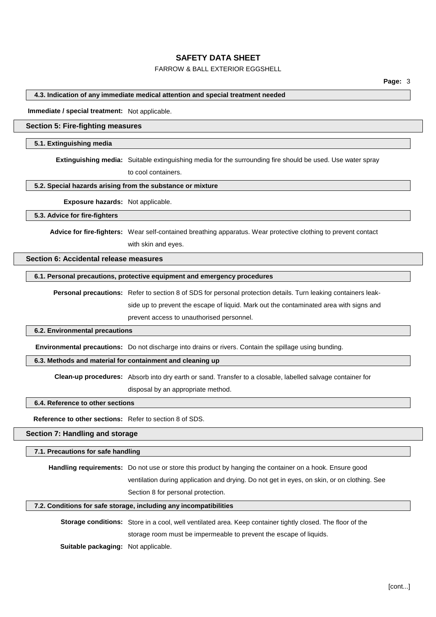# FARROW & BALL EXTERIOR EGGSHELL

### **4.3. Indication of any immediate medical attention and special treatment needed**

**Immediate / special treatment:** Not applicable.

# **Section 5: Fire-fighting measures**

#### **5.1. Extinguishing media**

**Extinguishing media:** Suitable extinguishing media for the surrounding fire should be used. Use water spray

to cool containers.

### **5.2. Special hazards arising from the substance or mixture**

**Exposure hazards:** Not applicable.

### **5.3. Advice for fire-fighters**

**Advice for fire-fighters:** Wear self-contained breathing apparatus. Wear protective clothing to prevent contact

with skin and eyes.

## **Section 6: Accidental release measures**

## **6.1. Personal precautions, protective equipment and emergency procedures**

**Personal precautions:** Refer to section 8 of SDS for personal protection details. Turn leaking containers leakside up to prevent the escape of liquid. Mark out the contaminated area with signs and prevent access to unauthorised personnel.

#### **6.2. Environmental precautions**

**Environmental precautions:** Do not discharge into drains or rivers. Contain the spillage using bunding.

## **6.3. Methods and material for containment and cleaning up**

**Clean-up procedures:** Absorb into dry earth or sand. Transfer to a closable, labelled salvage container for disposal by an appropriate method.

### **6.4. Reference to other sections**

**Reference to other sections:** Refer to section 8 of SDS.

## **Section 7: Handling and storage**

### **7.1. Precautions for safe handling**

**Handling requirements:** Do not use or store this product by hanging the container on a hook. Ensure good ventilation during application and drying. Do not get in eyes, on skin, or on clothing. See Section 8 for personal protection.

## **7.2. Conditions for safe storage, including any incompatibilities**

**Storage conditions:** Store in a cool, well ventilated area. Keep container tightly closed. The floor of the storage room must be impermeable to prevent the escape of liquids.

**Suitable packaging:** Not applicable.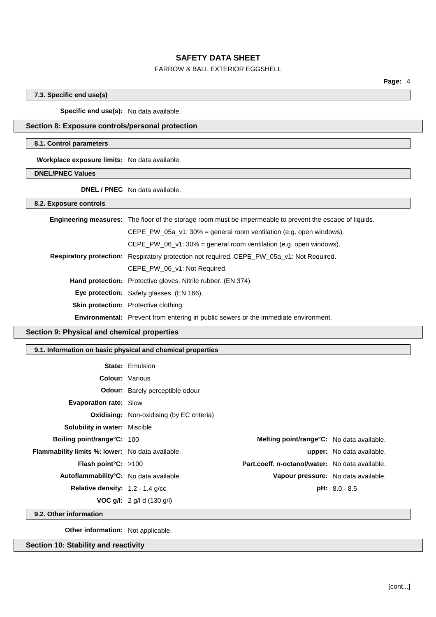# FARROW & BALL EXTERIOR EGGSHELL

**Page:** 4

## **7.3. Specific end use(s)**

**Specific end use(s):** No data available.

# **Section 8: Exposure controls/personal protection**

## **8.1. Control parameters**

**Workplace exposure limits:** No data available.

**DNEL/PNEC Values**

**DNEL / PNEC** No data available.

**8.2. Exposure controls**

| <b>Engineering measures:</b> The floor of the storage room must be impermeable to prevent the escape of liquids. |
|------------------------------------------------------------------------------------------------------------------|
| $CEPE_PW_05a_V1: 30\% =$ general room ventilation (e.g. open windows).                                           |
| CEPE_PW_06_v1: $30\%$ = general room ventilation (e.g. open windows).                                            |
| Respiratory protection: Respiratory protection not required. CEPE_PW_05a_v1: Not Required.                       |
| CEPE PW 06 v1: Not Required.                                                                                     |
| <b>Hand protection:</b> Protective gloves. Nitrile rubber. (EN 374).                                             |
| Eye protection: Safety glasses. (EN 166).                                                                        |
| Skin protection: Protective clothing.                                                                            |
| <b>Environmental:</b> Prevent from entering in public sewers or the immediate environment.                       |

# **Section 9: Physical and chemical properties**

## **9.1. Information on basic physical and chemical properties**

|                                                         | <b>State: Emulsion</b>                           |                                                  |                                  |
|---------------------------------------------------------|--------------------------------------------------|--------------------------------------------------|----------------------------------|
|                                                         | <b>Colour:</b> Various                           |                                                  |                                  |
|                                                         | <b>Odour:</b> Barely perceptible odour           |                                                  |                                  |
| <b>Evaporation rate: Slow</b>                           |                                                  |                                                  |                                  |
|                                                         | <b>Oxidising:</b> Non-oxidising (by EC criteria) |                                                  |                                  |
| <b>Solubility in water: Miscible</b>                    |                                                  |                                                  |                                  |
| <b>Boiling point/range °C: 100</b>                      |                                                  | <b>Melting point/range°C:</b> No data available. |                                  |
| <b>Flammability limits %: lower:</b> No data available. |                                                  |                                                  | <b>upper:</b> No data available. |
| <b>Flash point °C:</b> $>100$                           |                                                  | Part.coeff. n-octanol/water: No data available.  |                                  |
| Autoflammability <sup>°</sup> C: No data available.     |                                                  | Vapour pressure: No data available.              |                                  |
| <b>Relative density:</b> $1.2 - 1.4$ g/cc               |                                                  |                                                  | $pH: 8.0 - 8.5$                  |
|                                                         | <b>VOC g/l:</b> 2 g/l d (130 g/l)                |                                                  |                                  |

**9.2. Other information**

**Other information:** Not applicable.

**Section 10: Stability and reactivity**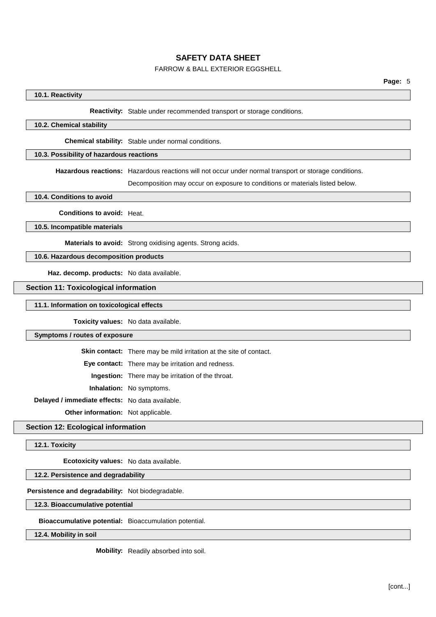# FARROW & BALL EXTERIOR EGGSHELL

# **10.1. Reactivity**

### **Reactivity:** Stable under recommended transport or storage conditions.

# **10.2. Chemical stability**

**Chemical stability:** Stable under normal conditions.

# **10.3. Possibility of hazardous reactions**

**Hazardous reactions:** Hazardous reactions will not occur under normal transport or storage conditions.

Decomposition may occur on exposure to conditions or materials listed below.

**10.4. Conditions to avoid**

**Conditions to avoid:** Heat.

**10.5. Incompatible materials**

**Materials to avoid:** Strong oxidising agents. Strong acids.

**10.6. Hazardous decomposition products**

**Haz. decomp. products:** No data available.

# **Section 11: Toxicological information**

**11.1. Information on toxicological effects**

**Toxicity values:** No data available.

### **Symptoms / routes of exposure**

**Skin contact:** There may be mild irritation at the site of contact.

**Eye contact:** There may be irritation and redness.

**Ingestion:** There may be irritation of the throat.

**Inhalation:** No symptoms.

**Delayed / immediate effects:** No data available.

**Other information:** Not applicable.

### **Section 12: Ecological information**

**12.1. Toxicity**

**Ecotoxicity values:** No data available.

## **12.2. Persistence and degradability**

**Persistence and degradability:** Not biodegradable.

**12.3. Bioaccumulative potential**

**Bioaccumulative potential:** Bioaccumulation potential.

**12.4. Mobility in soil**

**Mobility:** Readily absorbed into soil.